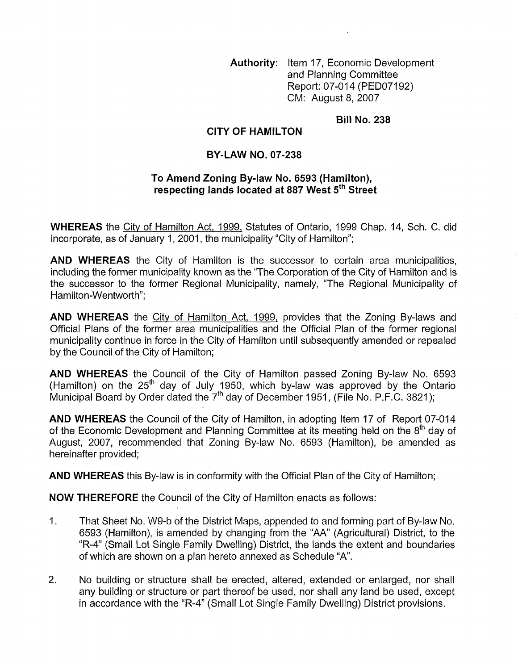Authority: Item 17, Economic Development and Planning Committee Report: 07-014 (PED07192) CM: August 8, 2007

Bill No. 238

## CITY OF HAMILTON

## BY-LAW NO. 07-238

## To Amend Zoning By-law No. 6593 (Hamilton), respecting lands located at 887 West 5<sup>th</sup> Street

WHEREAS the City of Hamilton Act, 1999, Statutes of Ontario, 1999 Chap. 14, Sch. C. did incorporate, as of January 1, 2001, the municipality "City of Hamilton";

AND WHEREAS the City of Hamilton is the successor to certain area municipalities, including the former municipality known as the "The Corporation of the City of Hamilton and is the successor to the former Regional Municipality, namely, "The Regional Municipality of Hamilton-Wentworth";

AND WHEREAS the City of Hamilton Act, 1999, provides that the Zoning By-laws and Official Plans of the former area municipalities and the Official Plan of the former regional municipality continue in force in the City of Hamilton until subsequently amended or repealed by the Council of the City of Hamilton;

AND WHEREAS the Council of the City of Hamilton passed Zoning By-law No. 6593 (Hamilton) on the 25<sup>th</sup> day of July 1950, which by-law was approved by the Ontario Municipal Board by Order dated the  $7<sup>th</sup>$  day of December 1951, (File No. P.F.C. 3821);

AND WHEREAS the Council of the City of Hamilton, in adopting Item 17 of Report 07-014 of the Economic Development and Planning Committee at its meeting held on the  $8<sup>th</sup>$  day of August, 2007, recommended that Zoning By-law No. 6593 (Hamilton), be amended as hereinafter provided;

AND WHEREAS this By-law is in conformity with the Official Plan of the City of Hamilton;

NOW THEREFORE the Council of the City of Hamilton enacts as follows:

- , That Sheet No. W9-b of the District Maps, appended to and forming part of By-law No. 6593 (Hamilton), is amended by changing from the "AA" (Agricultural) District, to the "R-4" (Small Lot Single Family Dwelling) District, the lands the extent and boundaries of which are shown on a plan hereto annexed as Schedule "A".
- 2. No building or structure shall be erected, altered, extended or enlarged, nor shall any building or structure or part thereof be used, nor shall any land be used, except in accordance with the "R-4" (Small Lot Single Family Dwelling) District provisions.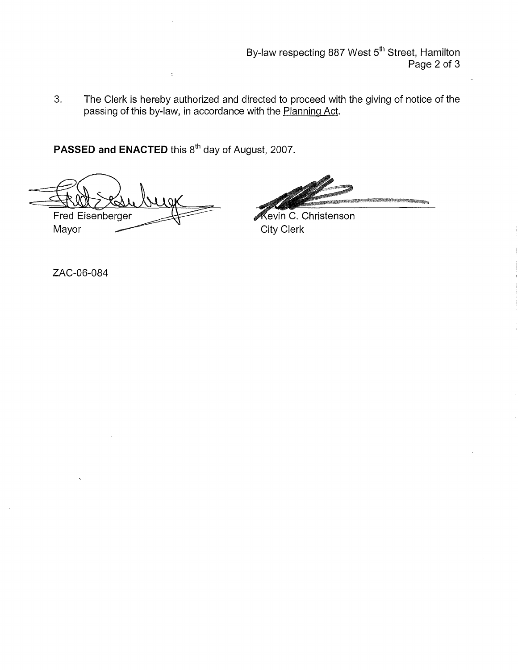By-law respecting 887 West 5<sup>th</sup> Street, Hamilton Page 2 of 3

3. The Clerk is hereby authorized and directed to proceed with the giving of notice of the passing of this by-law, in accordance with the Planning Act.

PASSED and ENACTED this 8<sup>th</sup> day of August, 2007.

Fred Eisenberger Mayor

Kevin C. Christenson City Clerk

ZAC-06-084